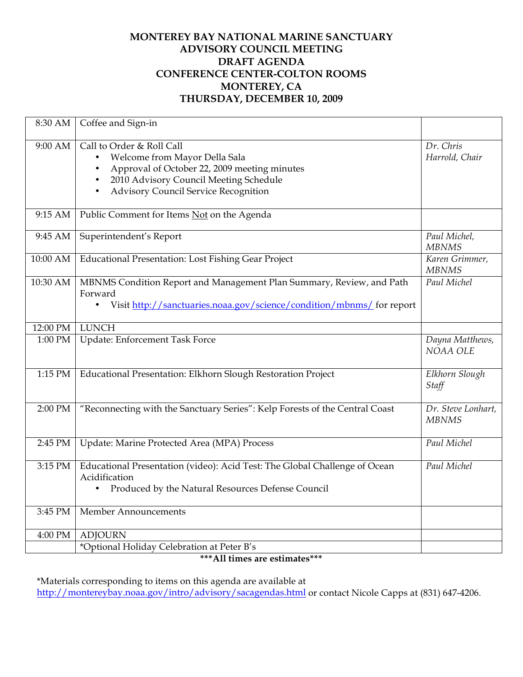## **MONTEREY BAY NATIONAL MARINE SANCTUARY ADVISORY COUNCIL MEETING DRAFT AGENDA CONFERENCE CENTER-COLTON ROOMS MONTEREY, CA THURSDAY, DECEMBER 10, 2009**

| 8:30 AM   | Coffee and Sign-in                                                                                                                                                                                            |                                                  |
|-----------|---------------------------------------------------------------------------------------------------------------------------------------------------------------------------------------------------------------|--------------------------------------------------|
| 9:00 AM   | Call to Order & Roll Call<br>Welcome from Mayor Della Sala<br>Approval of October 22, 2009 meeting minutes<br>٠<br>2010 Advisory Council Meeting Schedule<br><b>Advisory Council Service Recognition</b><br>٠ | Dr. Chris<br>Harrold, Chair                      |
| $9:15$ AM | Public Comment for Items Not on the Agenda                                                                                                                                                                    |                                                  |
| 9:45 AM   | Superintendent's Report                                                                                                                                                                                       | Paul Michel,<br><b>MBNMS</b>                     |
| 10:00 AM  | <b>Educational Presentation: Lost Fishing Gear Project</b>                                                                                                                                                    | Karen Grimmer,<br><b>MBNMS</b>                   |
| 10:30 AM  | MBNMS Condition Report and Management Plan Summary, Review, and Path<br>Forward<br>Visit http://sanctuaries.noaa.gov/science/condition/mbnms/ for report<br>٠                                                 | Paul Michel                                      |
| 12:00 PM  | <b>LUNCH</b>                                                                                                                                                                                                  |                                                  |
| 1:00 PM   | <b>Update: Enforcement Task Force</b>                                                                                                                                                                         | Dayna Matthews,<br>NOAA OLE                      |
| 1:15 PM   | Educational Presentation: Elkhorn Slough Restoration Project                                                                                                                                                  | Elkhorn Slough<br>Staff                          |
| 2:00 PM   | "Reconnecting with the Sanctuary Series": Kelp Forests of the Central Coast                                                                                                                                   | $\overline{Dr}$ . Steve Lonhart,<br><b>MBNMS</b> |
| 2:45 PM   | Update: Marine Protected Area (MPA) Process                                                                                                                                                                   | Paul Michel                                      |
| 3:15 PM   | Educational Presentation (video): Acid Test: The Global Challenge of Ocean<br>Acidification<br>Produced by the Natural Resources Defense Council<br>$\bullet$                                                 | Paul Michel                                      |
| 3:45 PM   | Member Announcements                                                                                                                                                                                          |                                                  |
| 4:00 PM   | <b>ADJOURN</b>                                                                                                                                                                                                |                                                  |
|           | *Optional Holiday Celebration at Peter B's                                                                                                                                                                    |                                                  |

## **\*\*\*All times are estimates\*\*\***

\*Materials corresponding to items on this agenda are available at http://montereybay.noaa.gov/intro/advisory/sacagendas.html or contact Nicole Capps at (831) 647-4206.